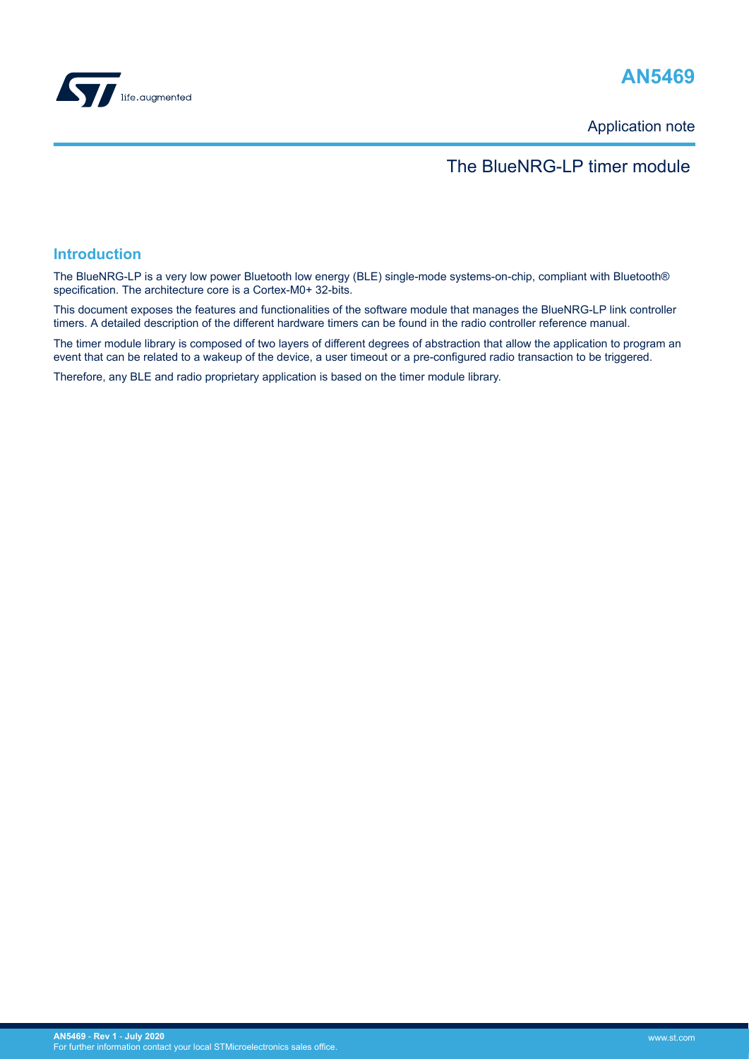

# **AN5469**

Application note

## The BlueNRG-LP timer module

#### **Introduction**

The BlueNRG-LP is a very low power Bluetooth low energy (BLE) single-mode systems-on-chip, compliant with Bluetooth® specification. The architecture core is a Cortex-M0+ 32-bits.

This document exposes the features and functionalities of the software module that manages the BlueNRG-LP link controller timers. A detailed description of the different hardware timers can be found in the radio controller reference manual.

The timer module library is composed of two layers of different degrees of abstraction that allow the application to program an event that can be related to a wakeup of the device, a user timeout or a pre-configured radio transaction to be triggered.

Therefore, any BLE and radio proprietary application is based on the timer module library.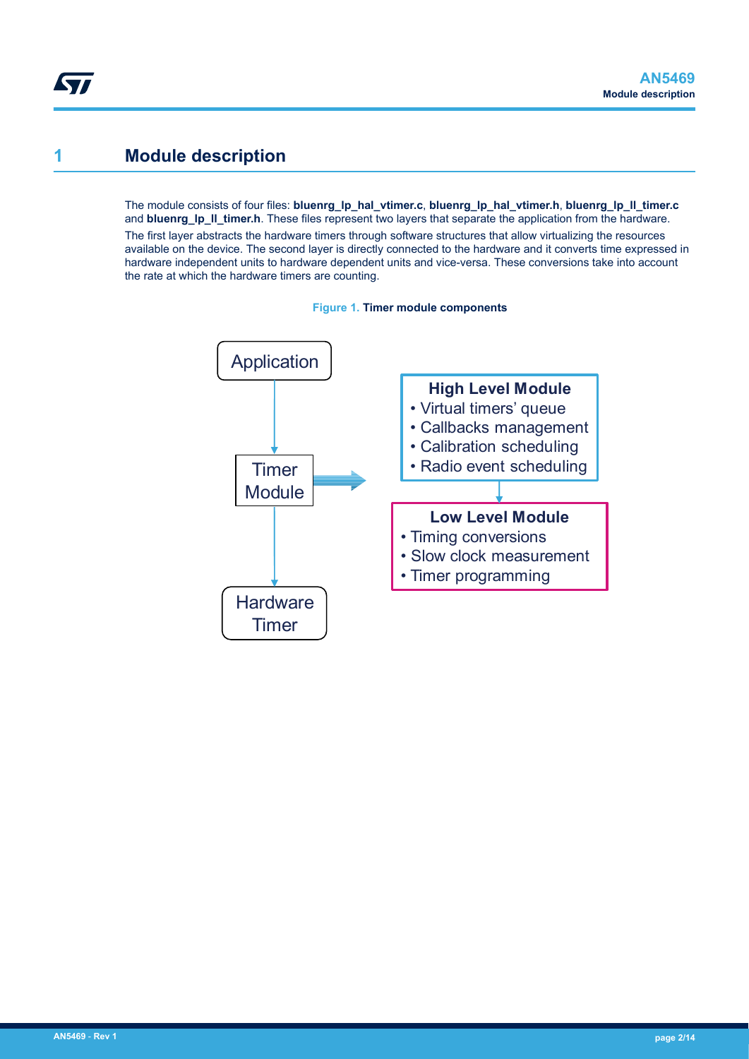## <span id="page-1-0"></span>**1 Module description**

The module consists of four files: **bluenrg\_lp\_hal\_vtimer.c**, **bluenrg\_lp\_hal\_vtimer.h**, **bluenrg\_lp\_ll\_timer.c** and **bluenrg\_lp\_ll\_timer.h**. These files represent two layers that separate the application from the hardware.

The first layer abstracts the hardware timers through software structures that allow virtualizing the resources available on the device. The second layer is directly connected to the hardware and it converts time expressed in hardware independent units to hardware dependent units and vice-versa. These conversions take into account the rate at which the hardware timers are counting.



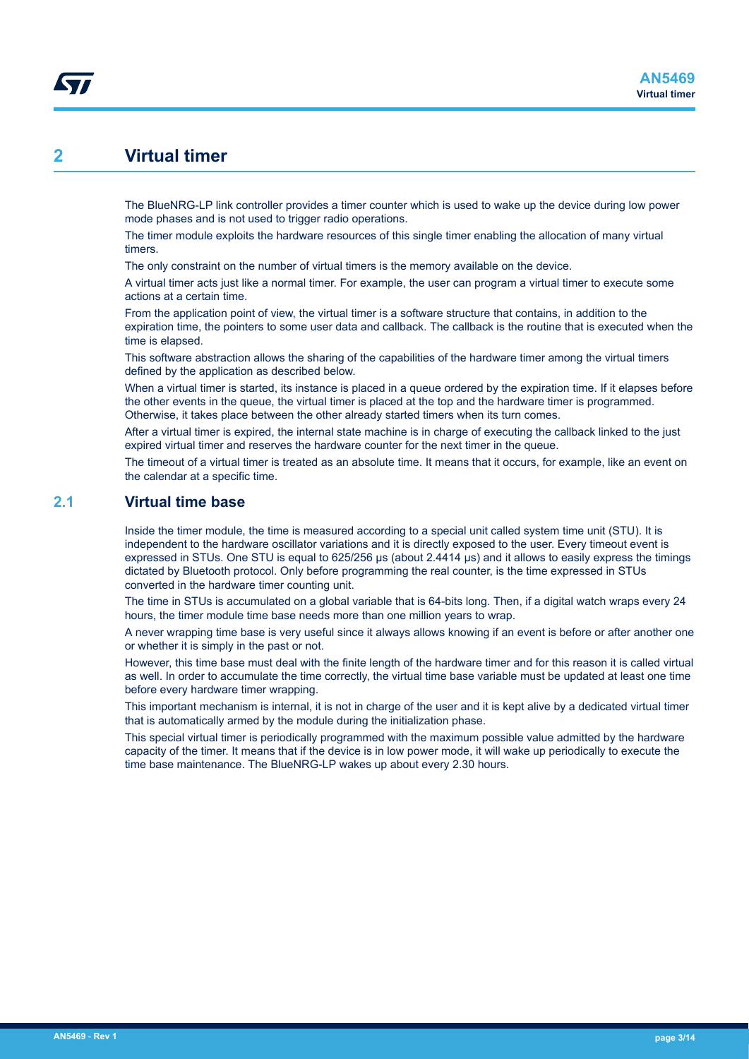## <span id="page-2-0"></span>**2 Virtual timer**

The BlueNRG-LP link controller provides a timer counter which is used to wake up the device during low power mode phases and is not used to trigger radio operations.

The timer module exploits the hardware resources of this single timer enabling the allocation of many virtual timers.

The only constraint on the number of virtual timers is the memory available on the device.

A virtual timer acts just like a normal timer. For example, the user can program a virtual timer to execute some actions at a certain time.

From the application point of view, the virtual timer is a software structure that contains, in addition to the expiration time, the pointers to some user data and callback. The callback is the routine that is executed when the time is elapsed.

This software abstraction allows the sharing of the capabilities of the hardware timer among the virtual timers defined by the application as described below.

When a virtual timer is started, its instance is placed in a queue ordered by the expiration time. If it elapses before the other events in the queue, the virtual timer is placed at the top and the hardware timer is programmed. Otherwise, it takes place between the other already started timers when its turn comes.

After a virtual timer is expired, the internal state machine is in charge of executing the callback linked to the just expired virtual timer and reserves the hardware counter for the next timer in the queue.

The timeout of a virtual timer is treated as an absolute time. It means that it occurs, for example, like an event on the calendar at a specific time.

### **2.1 Virtual time base**

Inside the timer module, the time is measured according to a special unit called system time unit (STU). It is independent to the hardware oscillator variations and it is directly exposed to the user. Every timeout event is expressed in STUs. One STU is equal to 625/256 µs (about 2.4414 µs) and it allows to easily express the timings dictated by Bluetooth protocol. Only before programming the real counter, is the time expressed in STUs converted in the hardware timer counting unit.

The time in STUs is accumulated on a global variable that is 64-bits long. Then, if a digital watch wraps every 24 hours, the timer module time base needs more than one million years to wrap.

A never wrapping time base is very useful since it always allows knowing if an event is before or after another one or whether it is simply in the past or not.

However, this time base must deal with the finite length of the hardware timer and for this reason it is called virtual as well. In order to accumulate the time correctly, the virtual time base variable must be updated at least one time before every hardware timer wrapping.

This important mechanism is internal, it is not in charge of the user and it is kept alive by a dedicated virtual timer that is automatically armed by the module during the initialization phase.

This special virtual timer is periodically programmed with the maximum possible value admitted by the hardware capacity of the timer. It means that if the device is in low power mode, it will wake up periodically to execute the time base maintenance. The BlueNRG-LP wakes up about every 2.30 hours.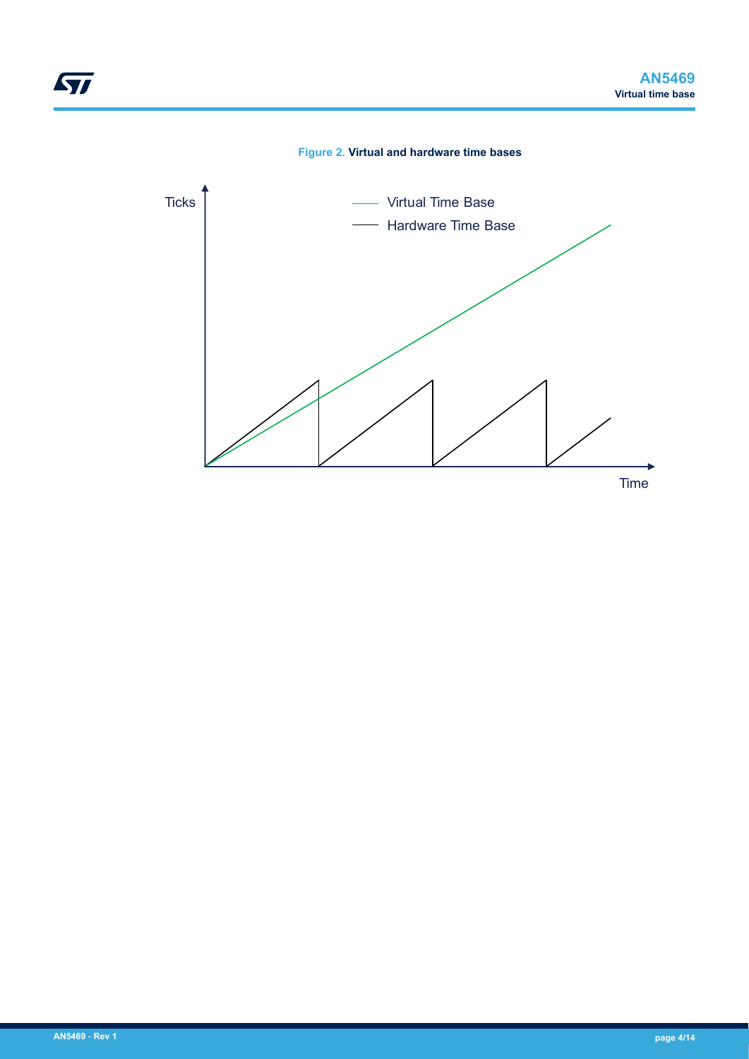

ST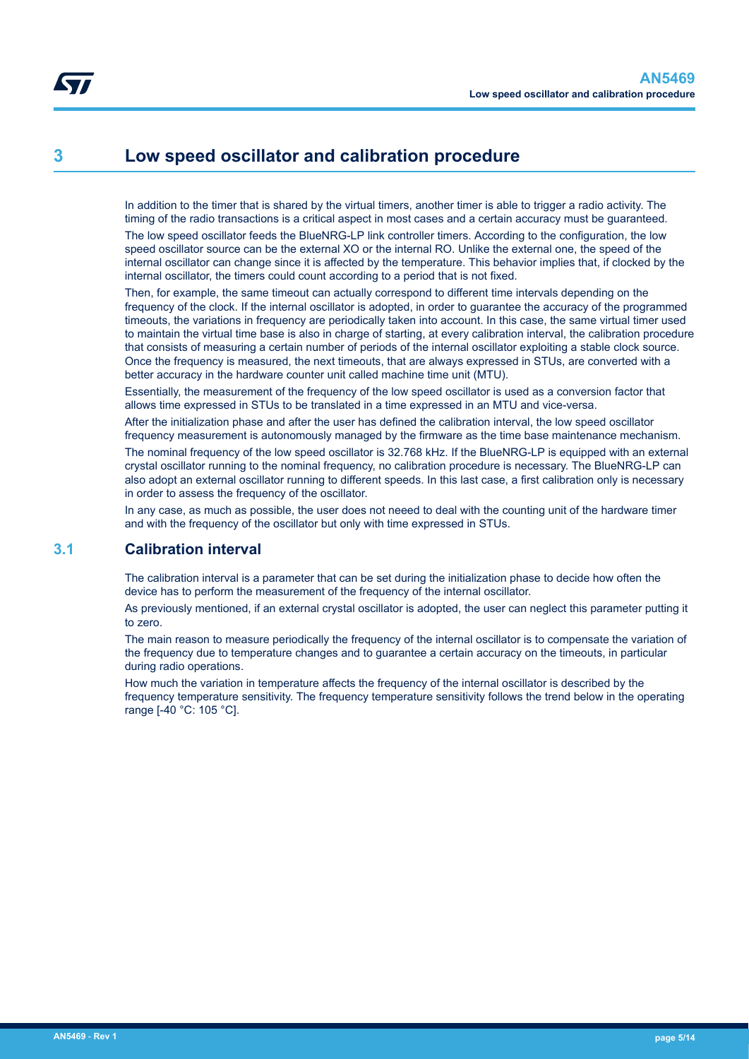## <span id="page-4-0"></span>**3 Low speed oscillator and calibration procedure**

In addition to the timer that is shared by the virtual timers, another timer is able to trigger a radio activity. The timing of the radio transactions is a critical aspect in most cases and a certain accuracy must be guaranteed.

The low speed oscillator feeds the BlueNRG-LP link controller timers. According to the configuration, the low speed oscillator source can be the external XO or the internal RO. Unlike the external one, the speed of the internal oscillator can change since it is affected by the temperature. This behavior implies that, if clocked by the internal oscillator, the timers could count according to a period that is not fixed.

Then, for example, the same timeout can actually correspond to different time intervals depending on the frequency of the clock. If the internal oscillator is adopted, in order to guarantee the accuracy of the programmed timeouts, the variations in frequency are periodically taken into account. In this case, the same virtual timer used to maintain the virtual time base is also in charge of starting, at every calibration interval, the calibration procedure that consists of measuring a certain number of periods of the internal oscillator exploiting a stable clock source. Once the frequency is measured, the next timeouts, that are always expressed in STUs, are converted with a better accuracy in the hardware counter unit called machine time unit (MTU).

Essentially, the measurement of the frequency of the low speed oscillator is used as a conversion factor that allows time expressed in STUs to be translated in a time expressed in an MTU and vice-versa.

After the initialization phase and after the user has defined the calibration interval, the low speed oscillator frequency measurement is autonomously managed by the firmware as the time base maintenance mechanism.

The nominal frequency of the low speed oscillator is 32.768 kHz. If the BlueNRG-LP is equipped with an external crystal oscillator running to the nominal frequency, no calibration procedure is necessary. The BlueNRG-LP can also adopt an external oscillator running to different speeds. In this last case, a first calibration only is necessary in order to assess the frequency of the oscillator.

In any case, as much as possible, the user does not neeed to deal with the counting unit of the hardware timer and with the frequency of the oscillator but only with time expressed in STUs.

### **3.1 Calibration interval**

The calibration interval is a parameter that can be set during the initialization phase to decide how often the device has to perform the measurement of the frequency of the internal oscillator.

As previously mentioned, if an external crystal oscillator is adopted, the user can neglect this parameter putting it to zero.

The main reason to measure periodically the frequency of the internal oscillator is to compensate the variation of the frequency due to temperature changes and to guarantee a certain accuracy on the timeouts, in particular during radio operations.

How much the variation in temperature affects the frequency of the internal oscillator is described by the frequency temperature sensitivity. The frequency temperature sensitivity follows the trend below in the operating range [-40 °C: 105 °C].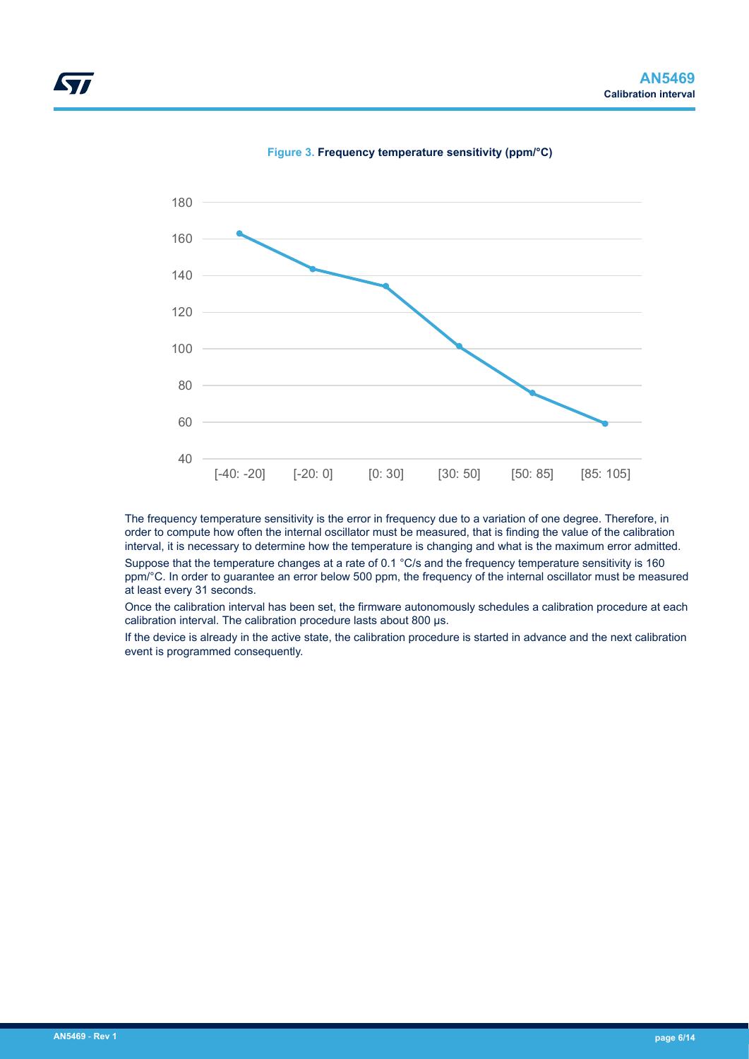





The frequency temperature sensitivity is the error in frequency due to a variation of one degree. Therefore, in order to compute how often the internal oscillator must be measured, that is finding the value of the calibration interval, it is necessary to determine how the temperature is changing and what is the maximum error admitted.

Suppose that the temperature changes at a rate of 0.1 °C/s and the frequency temperature sensitivity is 160 ppm/°C. In order to guarantee an error below 500 ppm, the frequency of the internal oscillator must be measured at least every 31 seconds.

Once the calibration interval has been set, the firmware autonomously schedules a calibration procedure at each calibration interval. The calibration procedure lasts about 800 µs.

If the device is already in the active state, the calibration procedure is started in advance and the next calibration event is programmed consequently.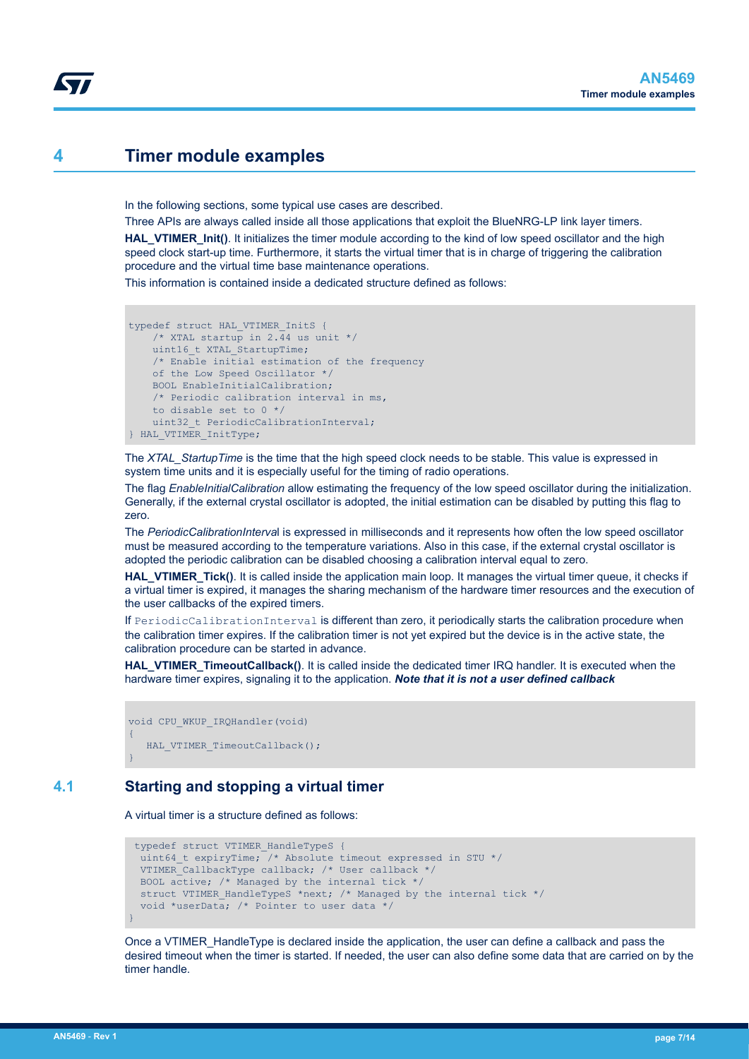### <span id="page-6-0"></span>**4 Timer module examples**

In the following sections, some typical use cases are described.

Three APIs are always called inside all those applications that exploit the BlueNRG-LP link layer timers. **HAL\_VTIMER\_Init()**. It initializes the timer module according to the kind of low speed oscillator and the high speed clock start-up time. Furthermore, it starts the virtual timer that is in charge of triggering the calibration procedure and the virtual time base maintenance operations.

This information is contained inside a dedicated structure defined as follows:

```
typedef struct HAL_VTIMER_InitS {
    /* XTAL startup in 2.44 us unit */
   uint16 t XTAL StartupTime;
    /* Enable initial estimation of the frequency 
     of the Low Speed Oscillator */
    BOOL EnableInitialCalibration;
     /* Periodic calibration interval in ms, 
     to disable set to 0 */
    uint32 t PeriodicCalibrationInterval;
} HAL_VTIMER_InitType;
```
The *XTAL\_StartupTime* is the time that the high speed clock needs to be stable. This value is expressed in system time units and it is especially useful for the timing of radio operations.

The flag *EnableInitialCalibration* allow estimating the frequency of the low speed oscillator during the initialization. Generally, if the external crystal oscillator is adopted, the initial estimation can be disabled by putting this flag to zero.

The *PeriodicCalibrationInterva*l is expressed in milliseconds and it represents how often the low speed oscillator must be measured according to the temperature variations. Also in this case, if the external crystal oscillator is adopted the periodic calibration can be disabled choosing a calibration interval equal to zero.

**HAL\_VTIMER\_Tick()**. It is called inside the application main loop. It manages the virtual timer queue, it checks if a virtual timer is expired, it manages the sharing mechanism of the hardware timer resources and the execution of the user callbacks of the expired timers.

If PeriodicCalibrationInterval is different than zero, it periodically starts the calibration procedure when the calibration timer expires. If the calibration timer is not yet expired but the device is in the active state, the calibration procedure can be started in advance.

**HAL\_VTIMER\_TimeoutCallback()**. It is called inside the dedicated timer IRQ handler. It is executed when the hardware timer expires, signaling it to the application. *Note that it is not a user defined callback*

```
void CPU_WKUP_IRQHandler(void)
{
   HAL VTIMER TimeoutCallback();
}
```
### **4.1 Starting and stopping a virtual timer**

A virtual timer is a structure defined as follows:

```
 typedef struct VTIMER_HandleTypeS {
 uint64 t expiryTime; /* Absolute timeout expressed in STU */
  VTIMER_CallbackType callback; /* User callback */
  BOOL active; /* Managed by the internal tick */
 struct VTIMER HandleTypeS *next; /* Managed by the internal tick */
  void *userData; /* Pointer to user data */
}
```
Once a VTIMER\_HandleType is declared inside the application, the user can define a callback and pass the desired timeout when the timer is started. If needed, the user can also define some data that are carried on by the timer handle.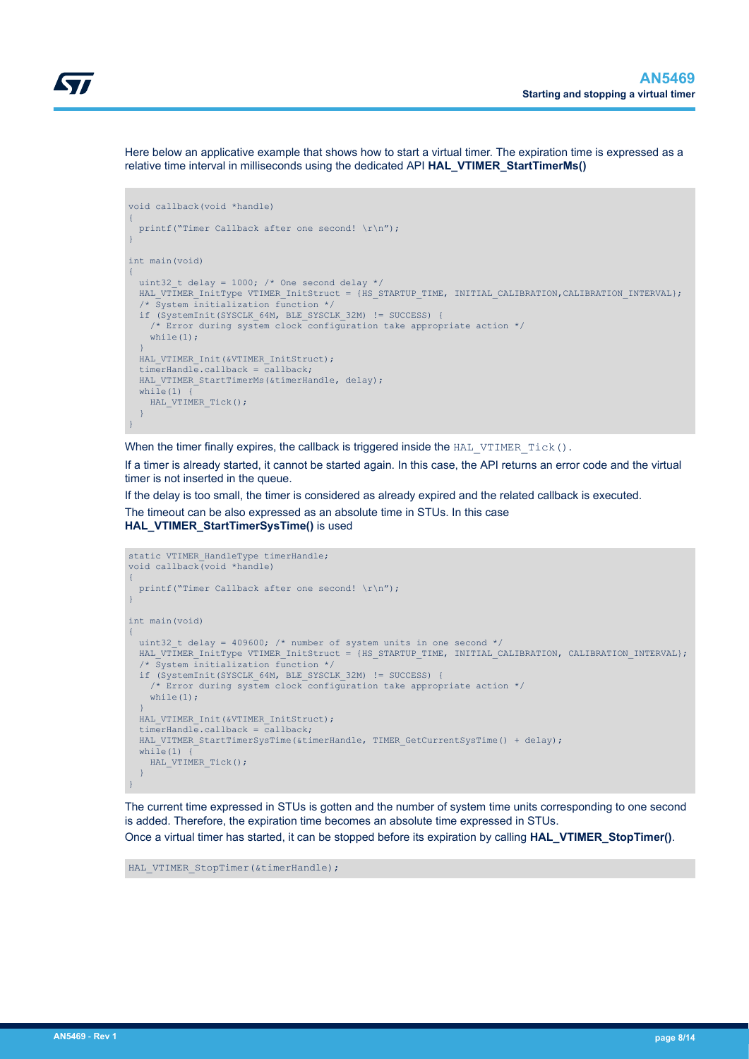

Here below an applicative example that shows how to start a virtual timer. The expiration time is expressed as a relative time interval in milliseconds using the dedicated API **HAL\_VTIMER\_StartTimerMs()**

```
void callback(void *handle)
{
 printf("Timer Callback after one second! \r\n");
}
int main(void)
{
 uint32 t delay = 1000; /* One second delay */
 HAL VTIMER InitType VTIMER InitStruct = {HS_STARTUP_TIME, INITIAL CALIBRATION, CALIBRATION INTERVAL};
  \overline{y} /* System initialization function */
   if (SystemInit(SYSCLK_64M, BLE_SYSCLK_32M) != SUCCESS) {
     /* Error during system clock configuration take appropriate action */
    while(1):
\rightarrowHAL VTIMER Init(&VTIMER InitStruct);
   timerHandle.callback = callback;
  HAL VTIMER StartTimerMs(&timerHandle, delay);
  while(1) \overline{1}HAL VTIMER Tick();
\rightarrow}
```
When the timer finally expires, the callback is triggered inside the  $HAL_VTTMER_Tick()$ .

If a timer is already started, it cannot be started again. In this case, the API returns an error code and the virtual timer is not inserted in the queue.

If the delay is too small, the timer is considered as already expired and the related callback is executed.

The timeout can be also expressed as an absolute time in STUs. In this case **HAL\_VTIMER\_StartTimerSysTime()** is used

```
static VTIMER HandleType timerHandle;
void callback(void *handle)
{
 printf("Timer Callback after one second! \r\n");
}
int main(void)
{
  uint32 t delay = 409600; /* number of system units in one second */
 HAL_VTIMER_InitType VTIMER_InitStruct = {HS_STARTUP_TIME, INITIAL_CALIBRATION, CALIBRATION_INTERVAL};
   /* System initialization function */
   if (SystemInit(SYSCLK_64M, BLE_SYSCLK_32M) != SUCCESS) {
    /* Error during system clock configuration take appropriate action */
   while(1);
\rightarrow HAL_VTIMER_Init(&VTIMER_InitStruct);
   timerHandle.callback = callback;
  HAL VITMER StartTimerSysTime(&timerHandle, TIMER GetCurrentSysTime() + delay);
  while(1) \vertHAL VTIMER Tick();
\rightarrow}
```
The current time expressed in STUs is gotten and the number of system time units corresponding to one second is added. Therefore, the expiration time becomes an absolute time expressed in STUs. Once a virtual timer has started, it can be stopped before its expiration by calling **HAL\_VTIMER\_StopTimer()**.

HAL VTIMER StopTimer(&timerHandle);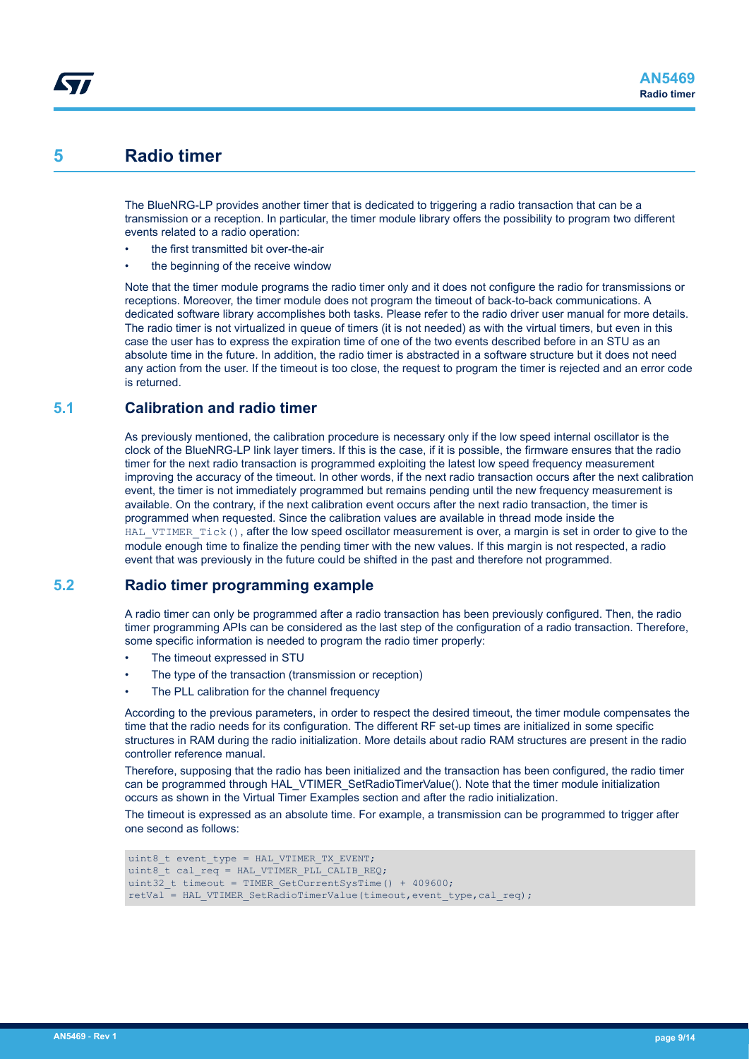### <span id="page-8-0"></span>**5 Radio timer**

The BlueNRG-LP provides another timer that is dedicated to triggering a radio transaction that can be a transmission or a reception. In particular, the timer module library offers the possibility to program two different events related to a radio operation:

- the first transmitted bit over-the-air
- the beginning of the receive window

Note that the timer module programs the radio timer only and it does not configure the radio for transmissions or receptions. Moreover, the timer module does not program the timeout of back-to-back communications. A dedicated software library accomplishes both tasks. Please refer to the radio driver user manual for more details. The radio timer is not virtualized in queue of timers (it is not needed) as with the virtual timers, but even in this case the user has to express the expiration time of one of the two events described before in an STU as an absolute time in the future. In addition, the radio timer is abstracted in a software structure but it does not need any action from the user. If the timeout is too close, the request to program the timer is rejected and an error code is returned.

### **5.1 Calibration and radio timer**

As previously mentioned, the calibration procedure is necessary only if the low speed internal oscillator is the clock of the BlueNRG-LP link layer timers. If this is the case, if it is possible, the firmware ensures that the radio timer for the next radio transaction is programmed exploiting the latest low speed frequency measurement improving the accuracy of the timeout. In other words, if the next radio transaction occurs after the next calibration event, the timer is not immediately programmed but remains pending until the new frequency measurement is available. On the contrary, if the next calibration event occurs after the next radio transaction, the timer is programmed when requested. Since the calibration values are available in thread mode inside the HAL VTIMER Tick(), after the low speed oscillator measurement is over, a margin is set in order to give to the module enough time to finalize the pending timer with the new values. If this margin is not respected, a radio event that was previously in the future could be shifted in the past and therefore not programmed.

### **5.2 Radio timer programming example**

A radio timer can only be programmed after a radio transaction has been previously configured. Then, the radio timer programming APIs can be considered as the last step of the configuration of a radio transaction. Therefore, some specific information is needed to program the radio timer properly:

- The timeout expressed in STU
- The type of the transaction (transmission or reception)
- The PLL calibration for the channel frequency

According to the previous parameters, in order to respect the desired timeout, the timer module compensates the time that the radio needs for its configuration. The different RF set-up times are initialized in some specific structures in RAM during the radio initialization. More details about radio RAM structures are present in the radio controller reference manual.

Therefore, supposing that the radio has been initialized and the transaction has been configured, the radio timer can be programmed through HAL\_VTIMER\_SetRadioTimerValue(). Note that the timer module initialization occurs as shown in the Virtual Timer Examples section and after the radio initialization.

The timeout is expressed as an absolute time. For example, a transmission can be programmed to trigger after one second as follows:

```
uint8 t event type = HAL VTIMER TX EVENT;
uint8_t cal_req = HAL_VTIMER_PLL_CALIB_REQ;
uint32 t timeout = TIMER GetCurrentSysTime() + 409600;
retVal = HAL VTIMER SetRadioTimerValue(timeout,event type,cal req);
```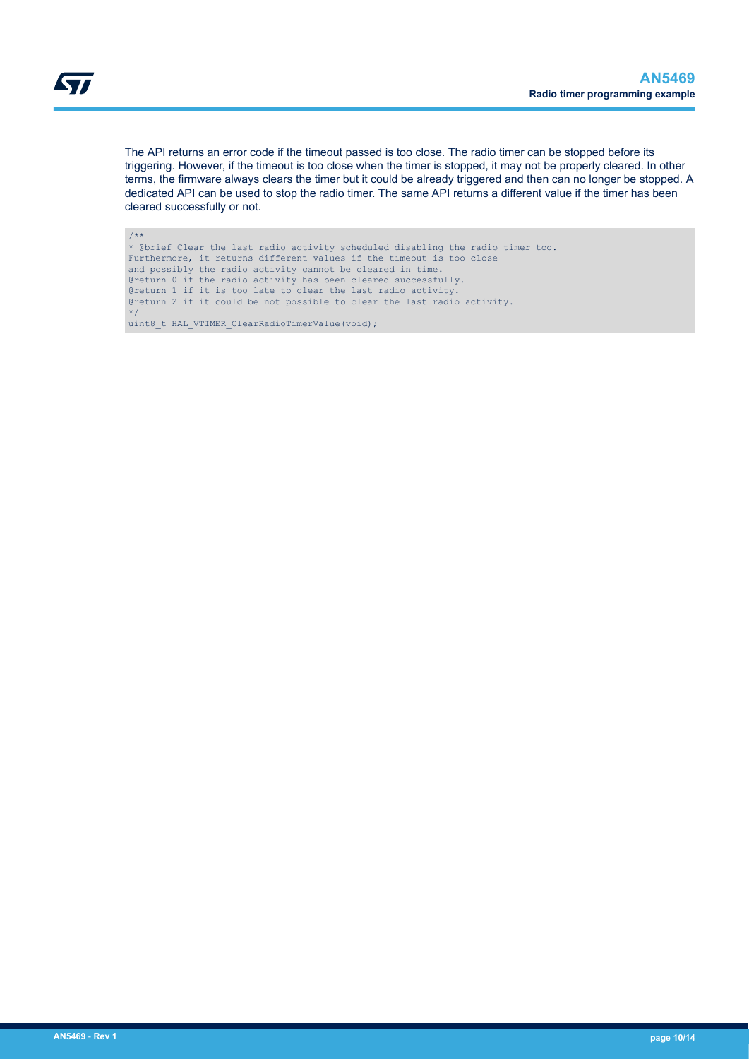The API returns an error code if the timeout passed is too close. The radio timer can be stopped before its triggering. However, if the timeout is too close when the timer is stopped, it may not be properly cleared. In other terms, the firmware always clears the timer but it could be already triggered and then can no longer be stopped. A dedicated API can be used to stop the radio timer. The same API returns a different value if the timer has been cleared successfully or not.

/\*\* \* @brief Clear the last radio activity scheduled disabling the radio timer too. Furthermore, it returns different values if the timeout is too close and possibly the radio activity cannot be cleared in time. @return 0 if the radio activity has been cleared successfully. @return 1 if it is too late to clear the last radio activity. @return 2 if it could be not possible to clear the last radio activity. \*/ uint8\_t HAL\_VTIMER\_ClearRadioTimerValue(void);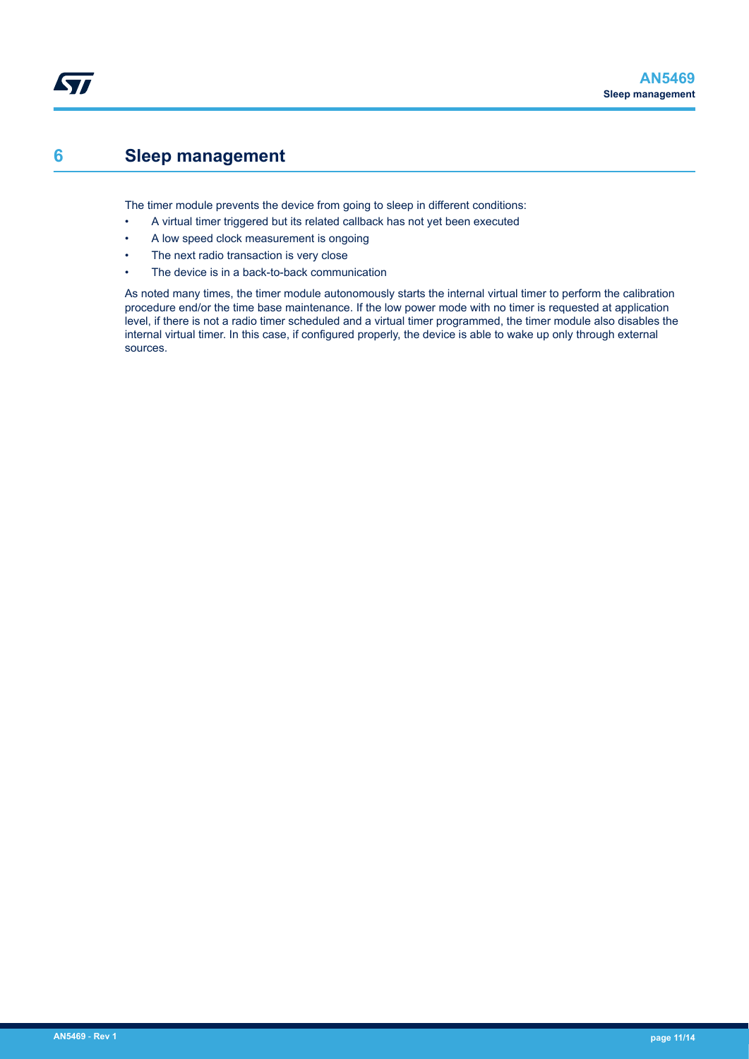### <span id="page-10-0"></span>**6 Sleep management**

The timer module prevents the device from going to sleep in different conditions:

- A virtual timer triggered but its related callback has not yet been executed
- A low speed clock measurement is ongoing
- The next radio transaction is very close
- The device is in a back-to-back communication

As noted many times, the timer module autonomously starts the internal virtual timer to perform the calibration procedure end/or the time base maintenance. If the low power mode with no timer is requested at application level, if there is not a radio timer scheduled and a virtual timer programmed, the timer module also disables the internal virtual timer. In this case, if configured properly, the device is able to wake up only through external sources.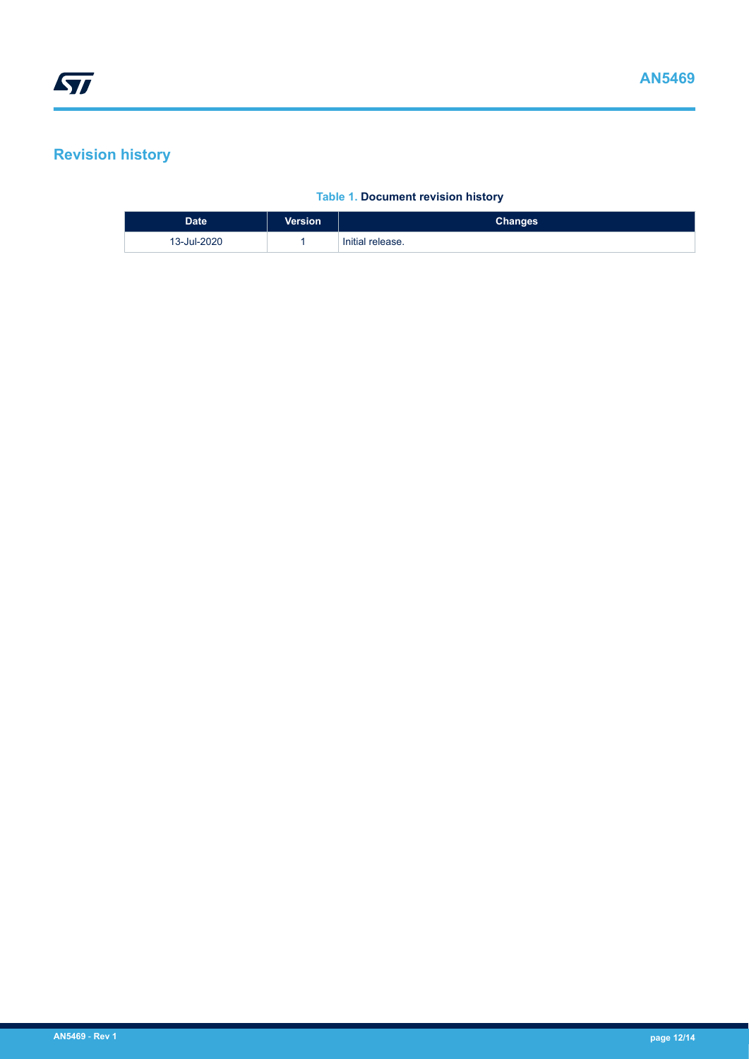## <span id="page-11-0"></span>**Revision history**

#### **Table 1. Document revision history**

| <b>Date</b> | <b>Version</b> | <b>Changes</b>   |
|-------------|----------------|------------------|
| 13-Jul-2020 |                | Initial release. |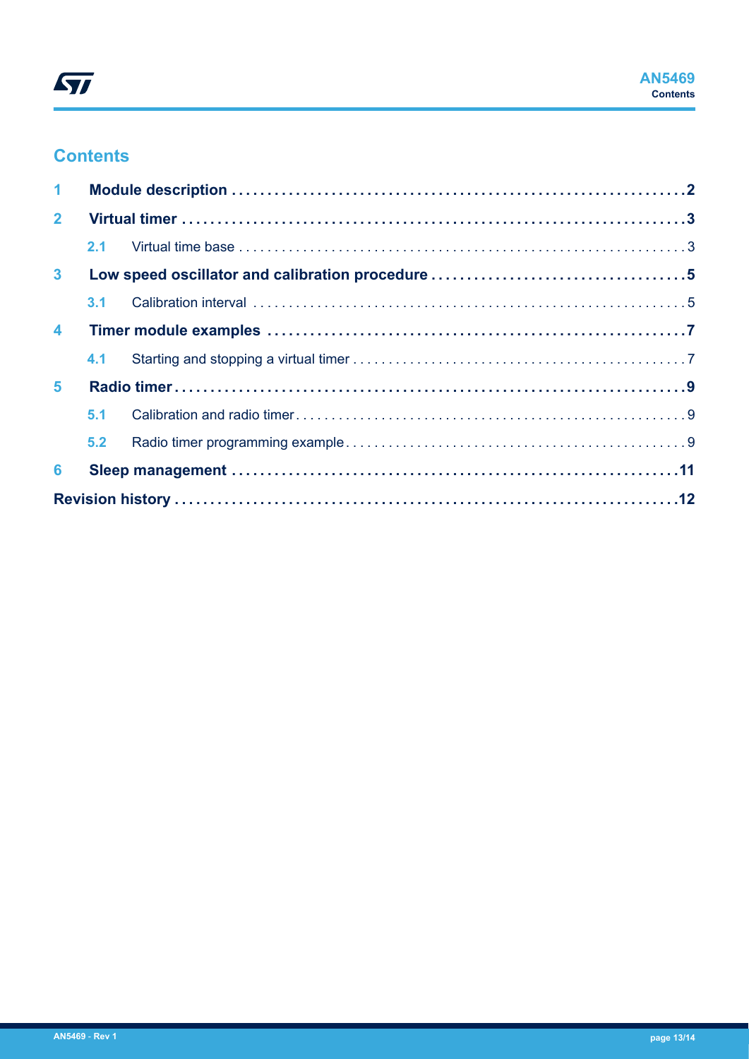

## **Contents**

| $\mathbf{1}$     |     |  |  |  |  |
|------------------|-----|--|--|--|--|
| $\overline{2}$   |     |  |  |  |  |
|                  | 2.1 |  |  |  |  |
| 3 <sup>1</sup>   |     |  |  |  |  |
|                  | 3.1 |  |  |  |  |
| $\blacktriangle$ |     |  |  |  |  |
|                  |     |  |  |  |  |
| $5\phantom{.0}$  |     |  |  |  |  |
|                  | 5.1 |  |  |  |  |
|                  | 5.2 |  |  |  |  |
| 6                |     |  |  |  |  |
|                  |     |  |  |  |  |